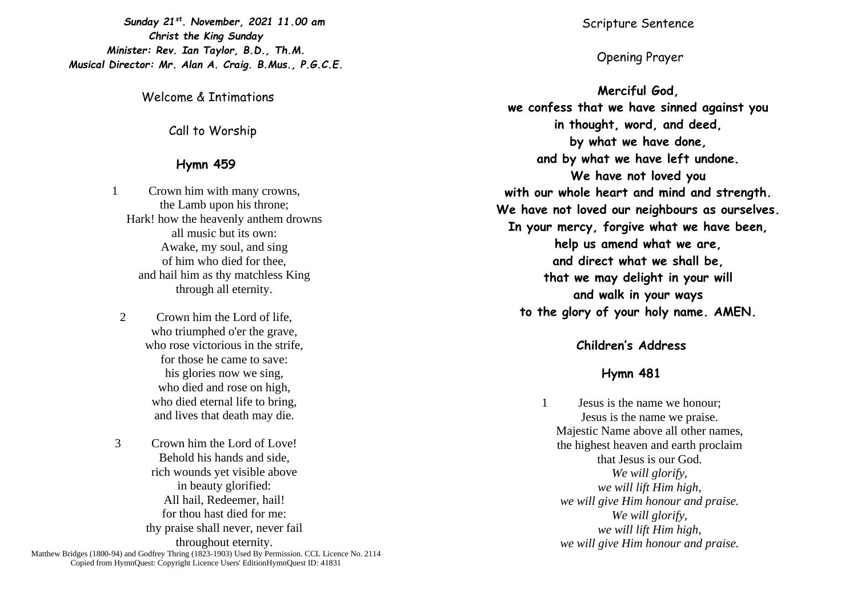*Sunday 21st . November, 2021 11.00 am Christ the King Sunday Minister: Rev. Ian Taylor, B.D., Th.M. Musical Director: Mr. Alan A. Craig. B.Mus., P.G.C.E.*

Welcome & Intimations

Call to Worship

## **Hymn 459**

1 Crown him with many crowns, the Lamb upon his throne; Hark! how the heavenly anthem drowns all music but its own: Awake, my soul, and sing of him who died for thee, and hail him as thy matchless King through all eternity.

- 2 Crown him the Lord of life, who triumphed o'er the grave, who rose victorious in the strife, for those he came to save: his glories now we sing, who died and rose on high, who died eternal life to bring, and lives that death may die.
- 3 Crown him the Lord of Love! Behold his hands and side, rich wounds yet visible above in beauty glorified: All hail, Redeemer, hail! for thou hast died for me: thy praise shall never, never fail throughout eternity. Matthew Bridges (1800-94) and Godfrey Thring (1823-1903) Used By Permission. CCL Licence No. 2114 Copied from HymnQuest: Copyright Licence Users' EditionHymnQuest ID: 41831

Scripture Sentence

# Opening Prayer

**Merciful God, we confess that we have sinned against you in thought, word, and deed, by what we have done, and by what we have left undone. We have not loved you with our whole heart and mind and strength. We have not loved our neighbours as ourselves. In your mercy, forgive what we have been, help us amend what we are, and direct what we shall be, that we may delight in your will and walk in your ways to the glory of your holy name. AMEN.**

# **Children's Address**

## **Hymn 481**

1 Jesus is the name we honour; Jesus is the name we praise. Majestic Name above all other names, the highest heaven and earth proclaim that Jesus is our God. *We will glorify, we will lift Him high, we will give Him honour and praise. We will glorify, we will lift Him high, we will give Him honour and praise.*